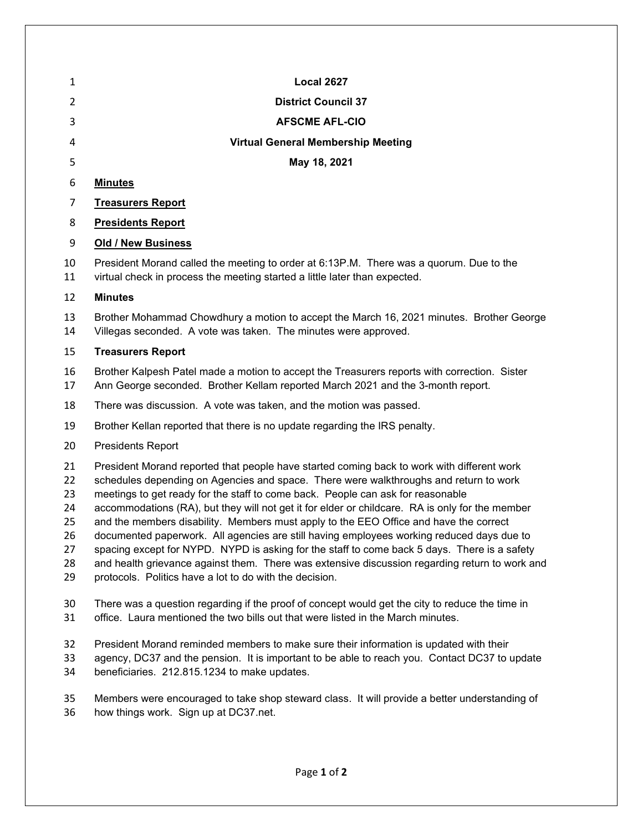| 1                                                  | <b>Local 2627</b>                                                                                                                                                                                                                                                                                                                                                                                                                                                                                                                                                                                                                                                                                                                                                                                                            |
|----------------------------------------------------|------------------------------------------------------------------------------------------------------------------------------------------------------------------------------------------------------------------------------------------------------------------------------------------------------------------------------------------------------------------------------------------------------------------------------------------------------------------------------------------------------------------------------------------------------------------------------------------------------------------------------------------------------------------------------------------------------------------------------------------------------------------------------------------------------------------------------|
| 2                                                  | <b>District Council 37</b>                                                                                                                                                                                                                                                                                                                                                                                                                                                                                                                                                                                                                                                                                                                                                                                                   |
| 3                                                  | <b>AFSCME AFL-CIO</b>                                                                                                                                                                                                                                                                                                                                                                                                                                                                                                                                                                                                                                                                                                                                                                                                        |
| 4                                                  | <b>Virtual General Membership Meeting</b>                                                                                                                                                                                                                                                                                                                                                                                                                                                                                                                                                                                                                                                                                                                                                                                    |
| 5                                                  | May 18, 2021                                                                                                                                                                                                                                                                                                                                                                                                                                                                                                                                                                                                                                                                                                                                                                                                                 |
| 6                                                  | <b>Minutes</b>                                                                                                                                                                                                                                                                                                                                                                                                                                                                                                                                                                                                                                                                                                                                                                                                               |
| 7                                                  | <b>Treasurers Report</b>                                                                                                                                                                                                                                                                                                                                                                                                                                                                                                                                                                                                                                                                                                                                                                                                     |
| 8                                                  | <b>Presidents Report</b>                                                                                                                                                                                                                                                                                                                                                                                                                                                                                                                                                                                                                                                                                                                                                                                                     |
| 9                                                  | <b>Old / New Business</b>                                                                                                                                                                                                                                                                                                                                                                                                                                                                                                                                                                                                                                                                                                                                                                                                    |
| 10<br>11                                           | President Morand called the meeting to order at 6:13P.M. There was a quorum. Due to the<br>virtual check in process the meeting started a little later than expected.                                                                                                                                                                                                                                                                                                                                                                                                                                                                                                                                                                                                                                                        |
| 12                                                 | <b>Minutes</b>                                                                                                                                                                                                                                                                                                                                                                                                                                                                                                                                                                                                                                                                                                                                                                                                               |
| 13<br>14                                           | Brother Mohammad Chowdhury a motion to accept the March 16, 2021 minutes. Brother George<br>Villegas seconded. A vote was taken. The minutes were approved.                                                                                                                                                                                                                                                                                                                                                                                                                                                                                                                                                                                                                                                                  |
| 15                                                 | <b>Treasurers Report</b>                                                                                                                                                                                                                                                                                                                                                                                                                                                                                                                                                                                                                                                                                                                                                                                                     |
| 16<br>17                                           | Brother Kalpesh Patel made a motion to accept the Treasurers reports with correction. Sister<br>Ann George seconded. Brother Kellam reported March 2021 and the 3-month report.                                                                                                                                                                                                                                                                                                                                                                                                                                                                                                                                                                                                                                              |
| 18                                                 | There was discussion. A vote was taken, and the motion was passed.                                                                                                                                                                                                                                                                                                                                                                                                                                                                                                                                                                                                                                                                                                                                                           |
| 19                                                 | Brother Kellan reported that there is no update regarding the IRS penalty.                                                                                                                                                                                                                                                                                                                                                                                                                                                                                                                                                                                                                                                                                                                                                   |
| 20                                                 | <b>Presidents Report</b>                                                                                                                                                                                                                                                                                                                                                                                                                                                                                                                                                                                                                                                                                                                                                                                                     |
| 21<br>22<br>23<br>24<br>25<br>26<br>27<br>28<br>29 | President Morand reported that people have started coming back to work with different work<br>schedules depending on Agencies and space. There were walkthroughs and return to work<br>meetings to get ready for the staff to come back. People can ask for reasonable<br>accommodations (RA), but they will not get it for elder or childcare. RA is only for the member<br>and the members disability. Members must apply to the EEO Office and have the correct<br>documented paperwork. All agencies are still having employees working reduced days due to<br>spacing except for NYPD. NYPD is asking for the staff to come back 5 days. There is a safety<br>and health grievance against them. There was extensive discussion regarding return to work and<br>protocols. Politics have a lot to do with the decision. |
| 30<br>31                                           | There was a question regarding if the proof of concept would get the city to reduce the time in<br>office. Laura mentioned the two bills out that were listed in the March minutes.                                                                                                                                                                                                                                                                                                                                                                                                                                                                                                                                                                                                                                          |
| 32<br>33<br>34                                     | President Morand reminded members to make sure their information is updated with their<br>agency, DC37 and the pension. It is important to be able to reach you. Contact DC37 to update<br>beneficiaries. 212.815.1234 to make updates.                                                                                                                                                                                                                                                                                                                                                                                                                                                                                                                                                                                      |

 Members were encouraged to take shop steward class. It will provide a better understanding of how things work. Sign up at DC37.net.